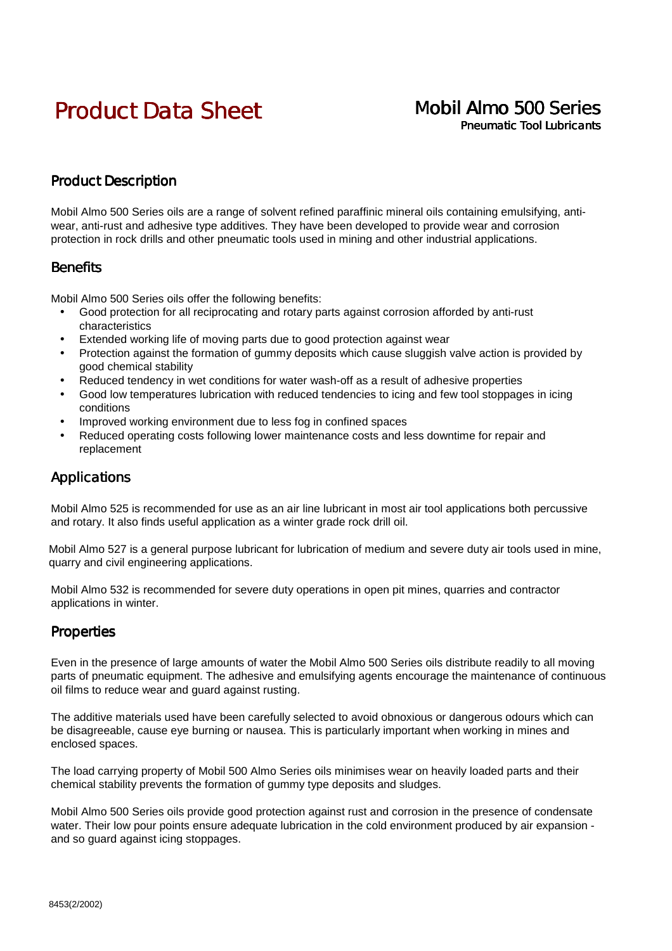# Product Data Sheet Mobil Almo 500 Series

# Pneumatic Tool Lubricants

### Product Description

Mobil Almo 500 Series oils are a range of solvent refined paraffinic mineral oils containing emulsifying, antiwear, anti-rust and adhesive type additives. They have been developed to provide wear and corrosion protection in rock drills and other pneumatic tools used in mining and other industrial applications.

#### **Benefits**

Mobil Almo 500 Series oils offer the following benefits:

- Good protection for all reciprocating and rotary parts against corrosion afforded by anti-rust characteristics
- Extended working life of moving parts due to good protection against wear
- Protection against the formation of gummy deposits which cause sluggish valve action is provided by good chemical stability
- Reduced tendency in wet conditions for water wash-off as a result of adhesive properties
- Good low temperatures lubrication with reduced tendencies to icing and few tool stoppages in icing conditions
- Improved working environment due to less fog in confined spaces
- Reduced operating costs following lower maintenance costs and less downtime for repair and replacement

#### Applications

Mobil Almo 525 is recommended for use as an air line lubricant in most air tool applications both percussive and rotary. It also finds useful application as a winter grade rock drill oil.

Mobil Almo 527 is a general purpose lubricant for lubrication of medium and severe duty air tools used in mine, quarry and civil engineering applications.

Mobil Almo 532 is recommended for severe duty operations in open pit mines, quarries and contractor applications in winter.

#### **Properties**

Even in the presence of large amounts of water the Mobil Almo 500 Series oils distribute readily to all moving parts of pneumatic equipment. The adhesive and emulsifying agents encourage the maintenance of continuous oil films to reduce wear and guard against rusting.

The additive materials used have been carefully selected to avoid obnoxious or dangerous odours which can be disagreeable, cause eye burning or nausea. This is particularly important when working in mines and enclosed spaces.

The load carrying property of Mobil 500 Almo Series oils minimises wear on heavily loaded parts and their chemical stability prevents the formation of gummy type deposits and sludges.

Mobil Almo 500 Series oils provide good protection against rust and corrosion in the presence of condensate water. Their low pour points ensure adequate lubrication in the cold environment produced by air expansion and so guard against icing stoppages.